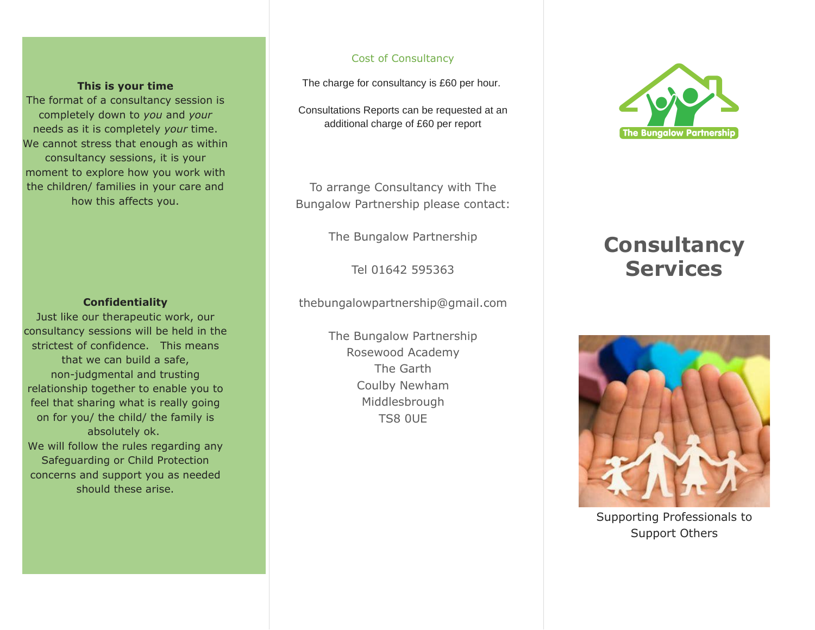#### **This is your time**

The format of a consultancy session is completely down to *you* and *your* needs as it is completely *your* time. We cannot stress that enough as within consultancy sessions, it is your moment to explore how you work with the children/ families in your care and how this affects you.

#### **Confidentiality**

Just like our therapeutic work, our consultancy sessions will be held in the strictest of confidence. This means that we can build a safe, non-judgmental and trusting relationship together to enable you to feel that sharing what is really going on for you/ the child/ the family is absolutely ok. We will follow the rules regarding any Safeguarding or Child Protection concerns and support you as needed should these arise.

#### Cost of Consultancy

The charge for consultancy is £60 per hour.

Consultations Reports can be requested at an additional charge of £60 per report

To arrange Consultancy with The Bungalow Partnership please contact:

The Bungalow Partnership

Tel 01642 595363

thebungalowpartnership@gmail.com

The Bungalow Partnership Rosewood Academy The Garth Coulby Newham Middlesbrough TS8 0UE



# **Consultancy Services**



Supporting Professionals to Support Others